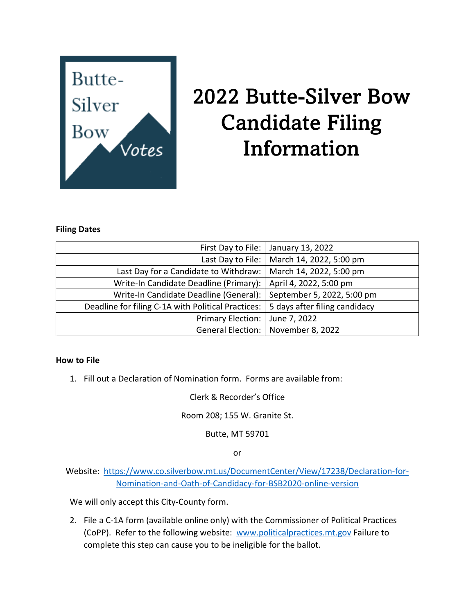

# 2022 Butte-Silver Bow Candidate Filing Information

#### **Filing Dates**

| First Day to File:                                 | January 13, 2022              |
|----------------------------------------------------|-------------------------------|
| Last Day to File:                                  | March 14, 2022, 5:00 pm       |
| Last Day for a Candidate to Withdraw:              | March 14, 2022, 5:00 pm       |
| Write-In Candidate Deadline (Primary):             | April 4, 2022, 5:00 pm        |
| Write-In Candidate Deadline (General):             | September 5, 2022, 5:00 pm    |
| Deadline for filing C-1A with Political Practices: | 5 days after filing candidacy |
| <b>Primary Election:</b>                           | June 7, 2022                  |
| <b>General Election:</b>                           | November 8, 2022              |

#### **How to File**

1. Fill out a Declaration of Nomination form. Forms are available from:

Clerk & Recorder's Office

Room 208; 155 W. Granite St.

Butte, MT 59701

or

Website: [https://www.co.silverbow.mt.us/DocumentCenter/View/17238/Declaration-for-](https://www.co.silverbow.mt.us/DocumentCenter/View/17238/Declaration-for-Nomination-and-Oath-of-Candidacy-for-BSB2020-online-version)[Nomination-and-Oath-of-Candidacy-for-BSB2020-online-version](https://www.co.silverbow.mt.us/DocumentCenter/View/17238/Declaration-for-Nomination-and-Oath-of-Candidacy-for-BSB2020-online-version)

We will only accept this City-County form.

2. File a C-1A form (available online only) with the Commissioner of Political Practices (CoPP). Refer to the following website: [www.politicalpractices.mt.gov](http://www.politicalpractices.mt.gov/) Failure to complete this step can cause you to be ineligible for the ballot.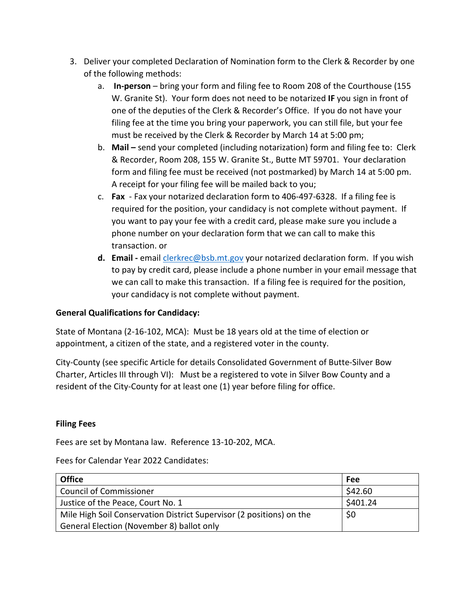- 3. Deliver your completed Declaration of Nomination form to the Clerk & Recorder by one of the following methods:
	- a. **In-person** bring your form and filing fee to Room 208 of the Courthouse (155 W. Granite St). Your form does not need to be notarized **IF** you sign in front of one of the deputies of the Clerk & Recorder's Office. If you do not have your filing fee at the time you bring your paperwork, you can still file, but your fee must be received by the Clerk & Recorder by March 14 at 5:00 pm;
	- b. **Mail –** send your completed (including notarization) form and filing fee to: Clerk & Recorder, Room 208, 155 W. Granite St., Butte MT 59701. Your declaration form and filing fee must be received (not postmarked) by March 14 at 5:00 pm. A receipt for your filing fee will be mailed back to you;
	- c. **Fax** Fax your notarized declaration form to 406-497-6328. If a filing fee is required for the position, your candidacy is not complete without payment. If you want to pay your fee with a credit card, please make sure you include a phone number on your declaration form that we can call to make this transaction. or
	- **d. Email -** email [clerkrec@bsb.mt.gov](mailto:clerkrec@bsb.mt.gov) your notarized declaration form. If you wish to pay by credit card, please include a phone number in your email message that we can call to make this transaction. If a filing fee is required for the position, your candidacy is not complete without payment.

## **General Qualifications for Candidacy:**

State of Montana (2-16-102, MCA): Must be 18 years old at the time of election or appointment, a citizen of the state, and a registered voter in the county.

City-County (see specific Article for details Consolidated Government of Butte-Silver Bow Charter, Articles III through VI): Must be a registered to vote in Silver Bow County and a resident of the City-County for at least one (1) year before filing for office.

## **Filing Fees**

Fees are set by Montana law. Reference 13-10-202, MCA.

Fees for Calendar Year 2022 Candidates:

| <b>Office</b>                                                        | <b>Fee</b> |
|----------------------------------------------------------------------|------------|
| <b>Council of Commissioner</b>                                       | \$42.60    |
| Justice of the Peace, Court No. 1                                    | \$401.24   |
| Mile High Soil Conservation District Supervisor (2 positions) on the | \$0        |
| General Election (November 8) ballot only                            |            |